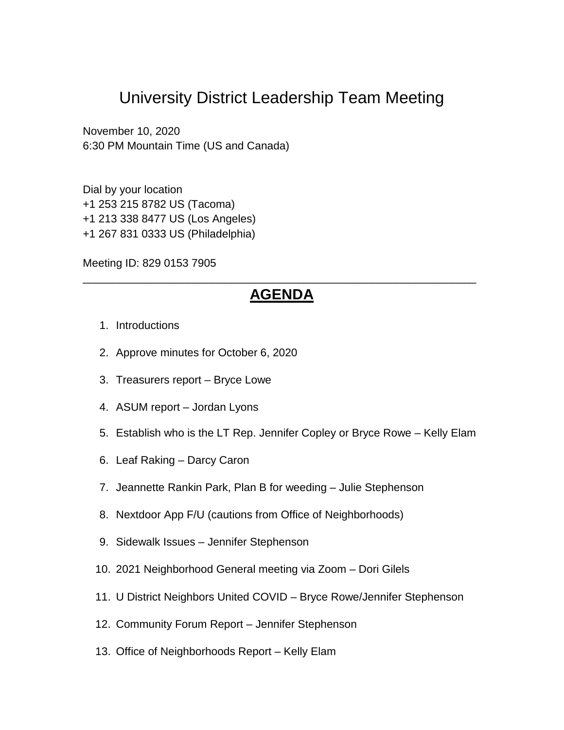# University District Leadership Team Meeting

November 10, 2020 6:30 PM Mountain Time (US and Canada)

Dial by your location +1 253 215 8782 US (Tacoma) +1 213 338 8477 US (Los Angeles) +1 267 831 0333 US (Philadelphia)

Meeting ID: 829 0153 7905

## \_\_\_\_\_\_\_\_\_\_\_\_\_\_\_\_\_\_\_\_\_\_\_\_\_\_\_\_\_\_\_\_\_\_\_\_\_\_\_\_\_\_\_\_\_\_\_\_\_\_\_\_\_\_\_\_\_\_\_\_\_\_\_\_ **AGENDA**

- 1. Introductions
- 2. Approve minutes for October 6, 2020
- 3. Treasurers report Bryce Lowe
- 4. ASUM report Jordan Lyons
- 5. Establish who is the LT Rep. Jennifer Copley or Bryce Rowe Kelly Elam
- 6. Leaf Raking Darcy Caron
- 7. Jeannette Rankin Park, Plan B for weeding Julie Stephenson
- 8. Nextdoor App F/U (cautions from Office of Neighborhoods)
- 9. Sidewalk Issues Jennifer Stephenson
- 10. 2021 Neighborhood General meeting via Zoom Dori Gilels
- 11. U District Neighbors United COVID Bryce Rowe/Jennifer Stephenson
- 12. Community Forum Report Jennifer Stephenson
- 13. Office of Neighborhoods Report Kelly Elam